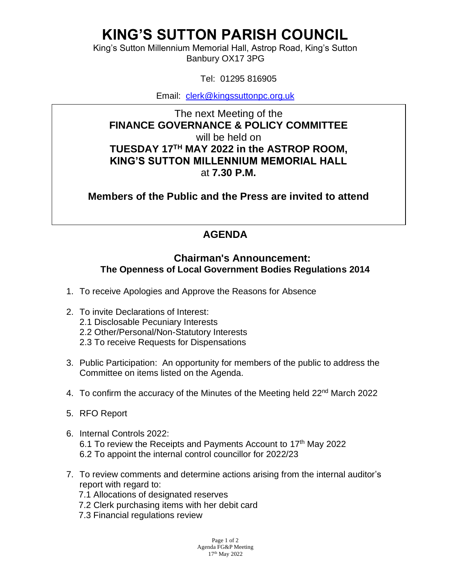## **KING'S SUTTON PARISH COUNCIL**

King's Sutton Millennium Memorial Hall, Astrop Road, King's Sutton Banbury OX17 3PG

Tel: 01295 816905

Email: [clerk@kingssuttonpc.org.uk](mailto:clerk@kingssuttonpc.org.uk)

The next Meeting of the **FINANCE GOVERNANCE & POLICY COMMITTEE**  will be held on **TUESDAY 17TH MAY 2022 in the ASTROP ROOM, KING'S SUTTON MILLENNIUM MEMORIAL HALL** at **7.30 P.M.** 

**Members of the Public and the Press are invited to attend** 

## **AGENDA**

## **Chairman's Announcement: The Openness of Local Government Bodies Regulations 2014**

- 1. To receive Apologies and Approve the Reasons for Absence
- 2. To invite Declarations of Interest:
	- 2.1 Disclosable Pecuniary Interests
	- 2.2 Other/Personal/Non-Statutory Interests
	- 2.3 To receive Requests for Dispensations
- 3. Public Participation: An opportunity for members of the public to address the Committee on items listed on the Agenda.
- 4. To confirm the accuracy of the Minutes of the Meeting held 22<sup>nd</sup> March 2022
- 5. RFO Report
- 6. Internal Controls 2022: 6.1 To review the Receipts and Payments Account to  $17<sup>th</sup>$  May 2022 6.2 To appoint the internal control councillor for 2022/23
- 7. To review comments and determine actions arising from the internal auditor's report with regard to:
	- 7.1 Allocations of designated reserves
	- 7.2 Clerk purchasing items with her debit card
	- 7.3 Financial regulations review